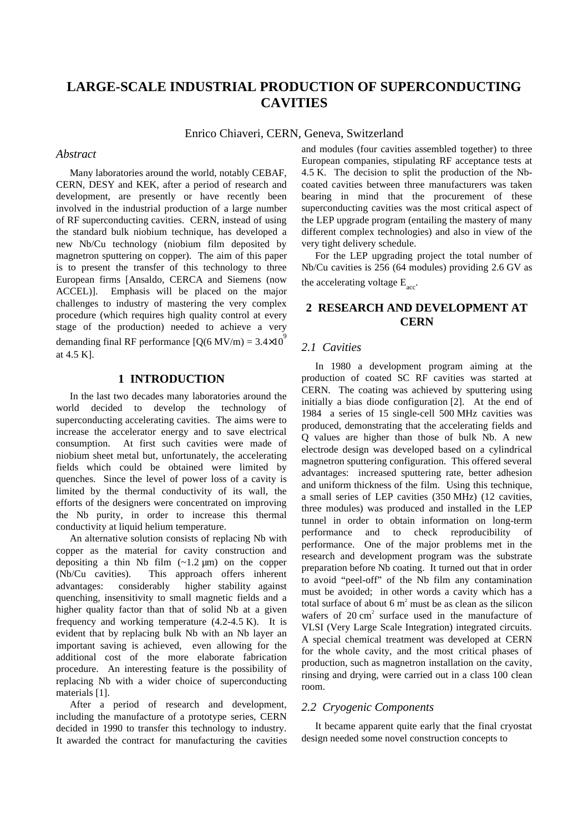# **LARGE-SCALE INDUSTRIAL PRODUCTION OF SUPERCONDUCTING CAVITIES**

Enrico Chiaveri, CERN, Geneva, Switzerland

# *Abstract*

Many laboratories around the world, notably CEBAF, CERN, DESY and KEK, after a period of research and development, are presently or have recently been involved in the industrial production of a large number of RF superconducting cavities. CERN, instead of using the standard bulk niobium technique, has developed a new Nb/Cu technology (niobium film deposited by magnetron sputtering on copper). The aim of this paper is to present the transfer of this technology to three European firms [Ansaldo, CERCA and Siemens (now ACCEL)]. Emphasis will be placed on the major challenges to industry of mastering the very complex procedure (which requires high quality control at every stage of the production) needed to achieve a very demanding final RF performance  $[O(6 \text{ MV/m}) = 3.4 \times 10^9$ at 4.5 K].

# **1 INTRODUCTION**

In the last two decades many laboratories around the world decided to develop the technology of superconducting accelerating cavities. The aims were to increase the accelerator energy and to save electrical consumption. At first such cavities were made of niobium sheet metal but, unfortunately, the accelerating fields which could be obtained were limited by quenches. Since the level of power loss of a cavity is limited by the thermal conductivity of its wall, the efforts of the designers were concentrated on improving the Nb purity, in order to increase this thermal conductivity at liquid helium temperature.

An alternative solution consists of replacing Nb with copper as the material for cavity construction and depositing a thin Nb film  $(-1.2 \mu m)$  on the copper (Nb/Cu cavities). This approach offers inherent advantages: considerably higher stability against quenching, insensitivity to small magnetic fields and a higher quality factor than that of solid Nb at a given frequency and working temperature (4.2-4.5 K). It is evident that by replacing bulk Nb with an Nb layer an important saving is achieved, even allowing for the additional cost of the more elaborate fabrication procedure. An interesting feature is the possibility of replacing Nb with a wider choice of superconducting materials [1].

After a period of research and development, including the manufacture of a prototype series, CERN decided in 1990 to transfer this technology to industry. It awarded the contract for manufacturing the cavities and modules (four cavities assembled together) to three European companies, stipulating RF acceptance tests at 4.5 K. The decision to split the production of the Nbcoated cavities between three manufacturers was taken bearing in mind that the procurement of these superconducting cavities was the most critical aspect of the LEP upgrade program (entailing the mastery of many different complex technologies) and also in view of the very tight delivery schedule.

For the LEP upgrading project the total number of Nb/Cu cavities is 256 (64 modules) providing 2.6 GV as the accelerating voltage  $E_{\text{acc}}$ .

# **2 RESEARCH AND DEVELOPMENT AT CERN**

#### *2.1 Cavities*

In 1980 a development program aiming at the production of coated SC RF cavities was started at CERN. The coating was achieved by sputtering using initially a bias diode configuration [2]. At the end of 1984 a series of 15 single-cell 500 MHz cavities was produced, demonstrating that the accelerating fields and Q values are higher than those of bulk Nb. A new electrode design was developed based on a cylindrical magnetron sputtering configuration. This offered several advantages: increased sputtering rate, better adhesion and uniform thickness of the film. Using this technique, a small series of LEP cavities (350 MHz) (12 cavities, three modules) was produced and installed in the LEP tunnel in order to obtain information on long-term performance and to check reproducibility of performance. One of the major problems met in the research and development program was the substrate preparation before Nb coating. It turned out that in order to avoid "peel-off" of the Nb film any contamination must be avoided; in other words a cavity which has a total surface of about 6  $m<sup>2</sup>$  must be as clean as the silicon wafers of  $20 \text{ cm}^2$  surface used in the manufacture of VLSI (Very Large Scale Integration) integrated circuits. A special chemical treatment was developed at CERN for the whole cavity, and the most critical phases of production, such as magnetron installation on the cavity, rinsing and drying, were carried out in a class 100 clean room.

#### *2.2 Cryogenic Components*

It became apparent quite early that the final cryostat design needed some novel construction concepts to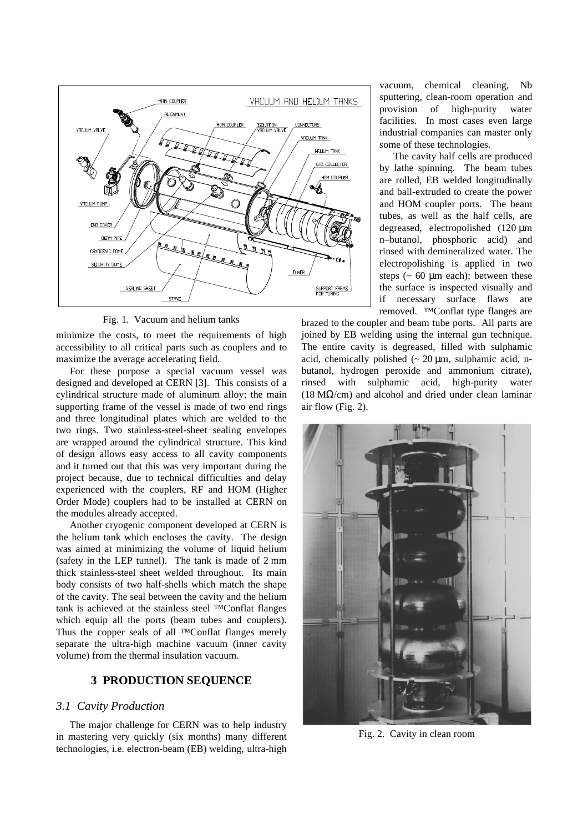

Fig. 1. Vacuum and helium tanks

minimize the costs, to meet the requirements of high accessibility to all critical parts such as couplers and to maximize the average accelerating field.

For these purpose a special vacuum vessel was designed and developed at CERN [3]. This consists of a cylindrical structure made of aluminum alloy; the main supporting frame of the vessel is made of two end rings and three longitudinal plates which are welded to the two rings. Two stainless-steel-sheet sealing envelopes are wrapped around the cylindrical structure. This kind of design allows easy access to all cavity components and it turned out that this was very important during the project because, due to technical difficulties and delay experienced with the couplers, RF and HOM (Higher Order Mode) couplers had to be installed at CERN on the modules already accepted.

Another cryogenic component developed at CERN is the helium tank which encloses the cavity. The design was aimed at minimizing the volume of liquid helium (safety in the LEP tunnel). The tank is made of 2 mm thick stainless-steel sheet welded throughout. Its main body consists of two half-shells which match the shape of the cavity. The seal between the cavity and the helium tank is achieved at the stainless steel ™Conflat flanges which equip all the ports (beam tubes and couplers). Thus the copper seals of all ™Conflat flanges merely separate the ultra-high machine vacuum (inner cavity volume) from the thermal insulation vacuum.

# **3 PRODUCTION SEQUENCE**

# *3.1 Cavity Production*

The major challenge for CERN was to help industry in mastering very quickly (six months) many different technologies, i.e. electron-beam (EB) welding, ultra-high

vacuum, chemical cleaning, Nb sputtering, clean-room operation and provision of high-purity water facilities. In most cases even large industrial companies can master only some of these technologies.

The cavity half cells are produced by lathe spinning. The beam tubes are rolled, EB welded longitudinally and ball-extruded to create the power and HOM coupler ports. The beam tubes, as well as the half cells, are degreased, electropolished (120 µm n–butanol, phosphoric acid) and rinsed with demineralized water. The electropolishing is applied in two steps  $(~60 \mu m$  each); between these the surface is inspected visually and if necessary surface flaws are removed. ™Conflat type flanges are

brazed to the coupler and beam tube ports. All parts are joined by EB welding using the internal gun technique. The entire cavity is degreased, filled with sulphamic acid, chemically polished  $\sim 20 \text{ µm}$ , sulphamic acid, nbutanol, hydrogen peroxide and ammonium citrate), rinsed with sulphamic acid, high-purity water (18 M $\Omega$ /cm) and alcohol and dried under clean laminar air flow (Fig. 2).



Fig. 2. Cavity in clean room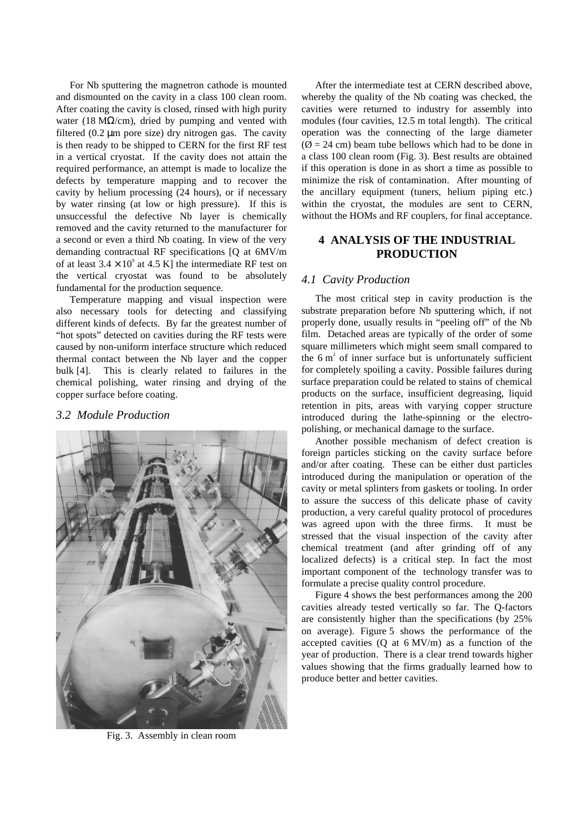For Nb sputtering the magnetron cathode is mounted and dismounted on the cavity in a class 100 clean room. After coating the cavity is closed, rinsed with high purity water (18 M $\Omega$ /cm), dried by pumping and vented with filtered (0.2 µm pore size) dry nitrogen gas. The cavity is then ready to be shipped to CERN for the first RF test in a vertical cryostat. If the cavity does not attain the required performance, an attempt is made to localize the defects by temperature mapping and to recover the cavity by helium processing (24 hours), or if necessary by water rinsing (at low or high pressure). If this is unsuccessful the defective Nb layer is chemically removed and the cavity returned to the manufacturer for a second or even a third Nb coating. In view of the very demanding contractual RF specifications [Q at 6MV/m of at least  $3.4 \times 10^9$  at 4.5 K] the intermediate RF test on the vertical cryostat was found to be absolutely fundamental for the production sequence.

Temperature mapping and visual inspection were also necessary tools for detecting and classifying different kinds of defects. By far the greatest number of "hot spots" detected on cavities during the RF tests were caused by non-uniform interface structure which reduced thermal contact between the Nb layer and the copper bulk [4]. This is clearly related to failures in the chemical polishing, water rinsing and drying of the copper surface before coating.

#### *3.2 Module Production*



Fig. 3. Assembly in clean room

After the intermediate test at CERN described above, whereby the quality of the Nb coating was checked, the cavities were returned to industry for assembly into modules (four cavities, 12.5 m total length). The critical operation was the connecting of the large diameter  $(\emptyset = 24$  cm) beam tube bellows which had to be done in a class 100 clean room (Fig. 3). Best results are obtained if this operation is done in as short a time as possible to minimize the risk of contamination. After mounting of the ancillary equipment (tuners, helium piping etc.) within the cryostat, the modules are sent to CERN, without the HOMs and RF couplers, for final acceptance.

# **4 ANALYSIS OF THE INDUSTRIAL PRODUCTION**

#### *4.1 Cavity Production*

The most critical step in cavity production is the substrate preparation before Nb sputtering which, if not properly done, usually results in "peeling off" of the Nb film. Detached areas are typically of the order of some square millimeters which might seem small compared to the  $6 \text{ m}^2$  of inner surface but is unfortunately sufficient for completely spoiling a cavity. Possible failures during surface preparation could be related to stains of chemical products on the surface, insufficient degreasing, liquid retention in pits, areas with varying copper structure introduced during the lathe-spinning or the electropolishing, or mechanical damage to the surface.

Another possible mechanism of defect creation is foreign particles sticking on the cavity surface before and/or after coating. These can be either dust particles introduced during the manipulation or operation of the cavity or metal splinters from gaskets or tooling. In order to assure the success of this delicate phase of cavity production, a very careful quality protocol of procedures was agreed upon with the three firms. It must be stressed that the visual inspection of the cavity after chemical treatment (and after grinding off of any localized defects) is a critical step. In fact the most important component of the technology transfer was to formulate a precise quality control procedure.

Figure 4 shows the best performances among the 200 cavities already tested vertically so far. The Q-factors are consistently higher than the specifications (by 25% on average). Figure 5 shows the performance of the accepted cavities  $(Q \text{ at } 6 \text{ MV/m})$  as a function of the year of production. There is a clear trend towards higher values showing that the firms gradually learned how to produce better and better cavities.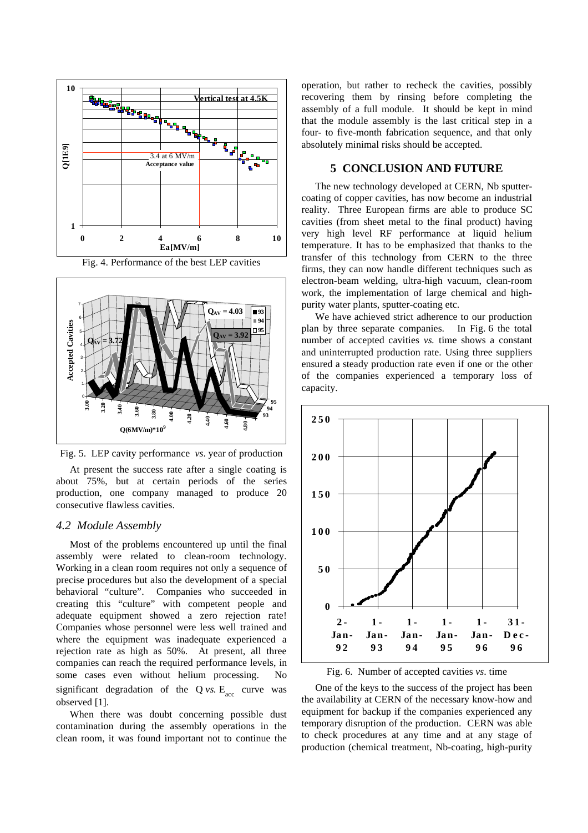





Fig. 5. LEP cavity performance *vs*. year of production

At present the success rate after a single coating is about 75%, but at certain periods of the series production, one company managed to produce 20 consecutive flawless cavities.

# *4.2 Module Assembly*

Most of the problems encountered up until the final assembly were related to clean-room technology. Working in a clean room requires not only a sequence of precise procedures but also the development of a special behavioral "culture". Companies who succeeded in creating this "culture" with competent people and adequate equipment showed a zero rejection rate! Companies whose personnel were less well trained and where the equipment was inadequate experienced a rejection rate as high as 50%. At present, all three companies can reach the required performance levels, in some cases even without helium processing. No significant degradation of the  $Q$  *vs.*  $E_{\text{acc}}$  curve was observed [1].

When there was doubt concerning possible dust contamination during the assembly operations in the clean room, it was found important not to continue the operation, but rather to recheck the cavities, possibly recovering them by rinsing before completing the assembly of a full module. It should be kept in mind that the module assembly is the last critical step in a four- to five-month fabrication sequence, and that only absolutely minimal risks should be accepted.

#### **5 CONCLUSION AND FUTURE**

The new technology developed at CERN, Nb sputtercoating of copper cavities, has now become an industrial reality. Three European firms are able to produce SC cavities (from sheet metal to the final product) having very high level RF performance at liquid helium temperature. It has to be emphasized that thanks to the transfer of this technology from CERN to the three firms, they can now handle different techniques such as electron-beam welding, ultra-high vacuum, clean-room work, the implementation of large chemical and highpurity water plants, sputter-coating etc.

We have achieved strict adherence to our production plan by three separate companies. In Fig. 6 the total number of accepted cavities *vs.* time shows a constant and uninterrupted production rate. Using three suppliers ensured a steady production rate even if one or the other of the companies experienced a temporary loss of capacity.





One of the keys to the success of the project has been the availability at CERN of the necessary know-how and equipment for backup if the companies experienced any temporary disruption of the production. CERN was able to check procedures at any time and at any stage of production (chemical treatment, Nb-coating, high-purity